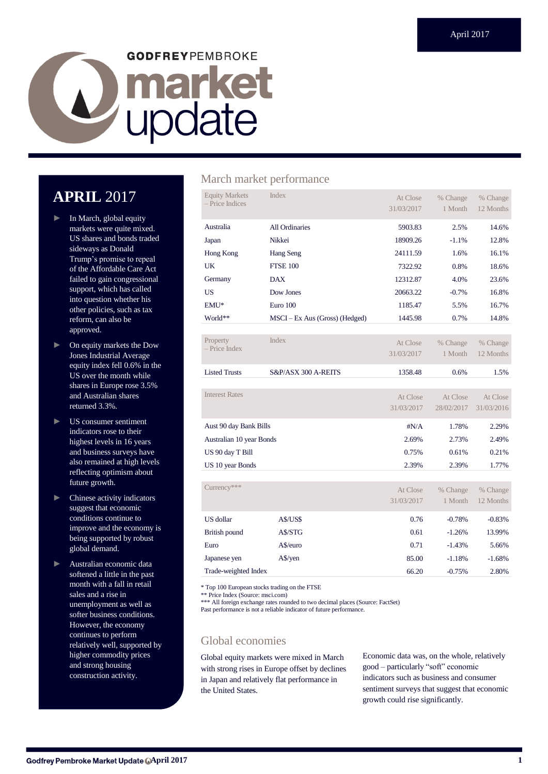# **GODFREYPEMBROKE** Lupdate

# **APRIL** 2017

- ► In March, global equity markets were quite mixed. US shares and bonds traded sideways as Donald Trump's promise to repeal of the Affordable Care Act failed to gain congressional support, which has called into question whether his other policies, such as tax reform, can also be approved.
- ► On equity markets the Dow Jones Industrial Average equity index fell 0.6% in the US over the month while shares in Europe rose 3.5% and Australian shares returned 3.3%.
- ► US consumer sentiment indicators rose to their highest levels in 16 years and business surveys have also remained at high levels reflecting optimism about future growth.
- Chinese activity indicators suggest that economic conditions continue to improve and the economy is being supported by robust global demand.
- ► Australian economic data softened a little in the past month with a fall in retail sales and a rise in unemployment as well as softer business conditions. However, the economy continues to perform relatively well, supported by higher commodity prices and strong housing construction activity.

## March market performance

| <b>Equity Markets</b><br>- Price Indices | <b>Index</b>                   | At Close     | % Change   | % Change   |
|------------------------------------------|--------------------------------|--------------|------------|------------|
|                                          |                                | 31/03/2017   | 1 Month    | 12 Months  |
| Australia                                | All Ordinaries                 | 5903.83      | 2.5%       | 14.6%      |
| Japan                                    | Nikkei                         | 18909.26     | $-1.1%$    | 12.8%      |
| Hong Kong                                | Hang Seng                      | 24111.59     | 1.6%       | 16.1%      |
| UK                                       | <b>FTSE 100</b>                | 7322.92      | 0.8%       | 18.6%      |
| Germany                                  | <b>DAX</b>                     | 12312.87     | 4.0%       | 23.6%      |
| <b>US</b>                                | Dow Jones                      | 20663.22     | $-0.7%$    | 16.8%      |
| EMU*                                     | Euro 100                       | 1185.47      | 5.5%       | 16.7%      |
| World**                                  | MSCI – Ex Aus (Gross) (Hedged) | 1445.98      | 0.7%       | 14.8%      |
|                                          |                                |              |            |            |
| Property<br>$-$ Price Index              | <b>Index</b>                   | At Close     | % Change   | % Change   |
|                                          |                                | 31/03/2017   | 1 Month    | 12 Months  |
|                                          |                                |              |            |            |
| <b>Listed Trusts</b>                     | S&P/ASX 300 A-REITS            | 1358.48      | 0.6%       | 1.5%       |
|                                          |                                |              |            |            |
| <b>Interest Rates</b>                    |                                | At Close     | At Close   | At Close   |
|                                          |                                | 31/03/2017   | 28/02/2017 | 31/03/2016 |
| Aust 90 day Bank Bills                   |                                | $\sharp N/A$ | 1.78%      | 2.29%      |
| Australian 10 year Bonds                 |                                | 2.69%        | 2.73%      | 2.49%      |
| US 90 day T Bill                         |                                | 0.75%        | 0.61%      | 0.21%      |
| US 10 year Bonds                         |                                | 2.39%        | 2.39%      | 1.77%      |
|                                          |                                |              |            |            |
| Currency***                              |                                | At Close     | % Change   | % Change   |
|                                          |                                | 31/03/2017   | 1 Month    | 12 Months  |

|                      |            | 31/03/2017 | <b>Month</b> | 2 Months |
|----------------------|------------|------------|--------------|----------|
| US dollar            | A\$/US\$   | 0.76       | $-0.78%$     | $-0.83%$ |
| British pound        | A\$/STG    | 0.61       | $-1.26%$     | 13.99%   |
| Euro                 | A\$/euro   | 0.71       | $-1.43%$     | 5.66%    |
| Japanese yen         | $A\$ {yen} | 85.00      | $-1.18%$     | $-1.68%$ |
| Trade-weighted Index |            | 66.20      | $-0.75%$     | 2.80%    |

\* Top 100 European stocks trading on the FTSE

\*\* Price Index (Source: msci.com)

\*\*\* All foreign exchange rates rounded to two decimal places (Source: FactSet)

Past performance is not a reliable indicator of future performance.

## Global economies

Global equity markets were mixed in March with strong rises in Europe offset by declines in Japan and relatively flat performance in the United States.

Economic data was, on the whole, relatively good – particularly "soft" economic indicators such as business and consumer sentiment surveys that suggest that economic growth could rise significantly.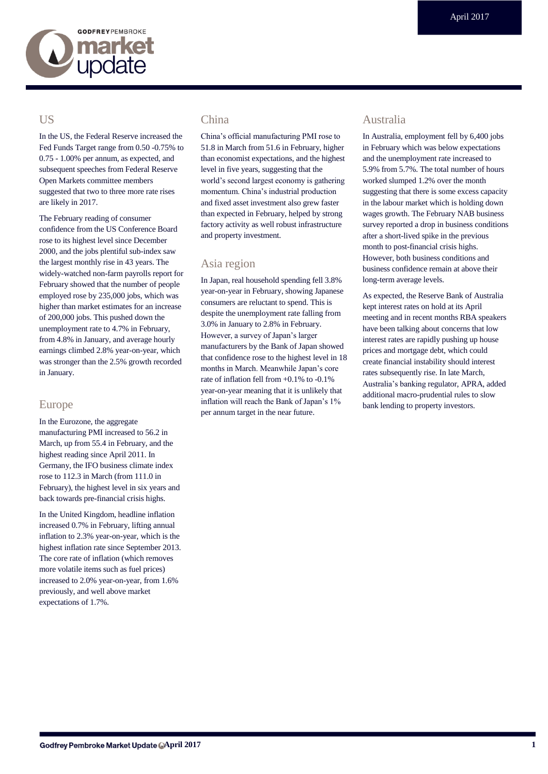

## **US**

In the US, the Federal Reserve increased the Fed Funds Target range from 0.50 -0.75% to 0.75 - 1.00% per annum, as expected, and subsequent speeches from Federal Reserve Open Markets committee members suggested that two to three more rate rises are likely in 2017.

The February reading of consumer confidence from the US Conference Board rose to its highest level since December 2000, and the jobs plentiful sub-index saw the largest monthly rise in 43 years. The widely-watched non-farm payrolls report for February showed that the number of people employed rose by 235,000 jobs, which was higher than market estimates for an increase of 200,000 jobs. This pushed down the unemployment rate to 4.7% in February, from 4.8% in January, and average hourly earnings climbed 2.8% year-on-year, which was stronger than the 2.5% growth recorded in January.

## Europe

In the Eurozone, the aggregate manufacturing PMI increased to 56.2 in March, up from 55.4 in February, and the highest reading since April 2011. In Germany, the IFO business climate index rose to 112.3 in March (from 111.0 in February), the highest level in six years and back towards pre-financial crisis highs.

In the United Kingdom, headline inflation increased 0.7% in February, lifting annual inflation to 2.3% year-on-year, which is the highest inflation rate since September 2013. The core rate of inflation (which removes more volatile items such as fuel prices) increased to 2.0% year-on-year, from 1.6% previously, and well above market expectations of 1.7%.

## China

China's official manufacturing PMI rose to 51.8 in March from 51.6 in February, higher than economist expectations, and the highest level in five years, suggesting that the world's second largest economy is gathering momentum. China's industrial production and fixed asset investment also grew faster than expected in February, helped by strong factory activity as well robust infrastructure and property investment.

## Asia region

In Japan, real household spending fell 3.8% year-on-year in February, showing Japanese consumers are reluctant to spend. This is despite the unemployment rate falling from 3.0% in January to 2.8% in February. However, a survey of Japan's larger manufacturers by the Bank of Japan showed that confidence rose to the highest level in 18 months in March. Meanwhile Japan's core rate of inflation fell from +0.1% to -0.1% year-on-year meaning that it is unlikely that inflation will reach the Bank of Japan's 1% per annum target in the near future.

## Australia

In Australia, employment fell by 6,400 jobs in February which was below expectations and the unemployment rate increased to 5.9% from 5.7%. The total number of hours worked slumped 1.2% over the month suggesting that there is some excess capacity in the labour market which is holding down wages growth. The February NAB business survey reported a drop in business conditions after a short-lived spike in the previous month to post-financial crisis highs. However, both business conditions and business confidence remain at above their long-term average levels.

As expected, the Reserve Bank of Australia kept interest rates on hold at its April meeting and in recent months RBA speakers have been talking about concerns that low interest rates are rapidly pushing up house prices and mortgage debt, which could create financial instability should interest rates subsequently rise. In late March, Australia's banking regulator, APRA, added additional macro-prudential rules to slow bank lending to property investors.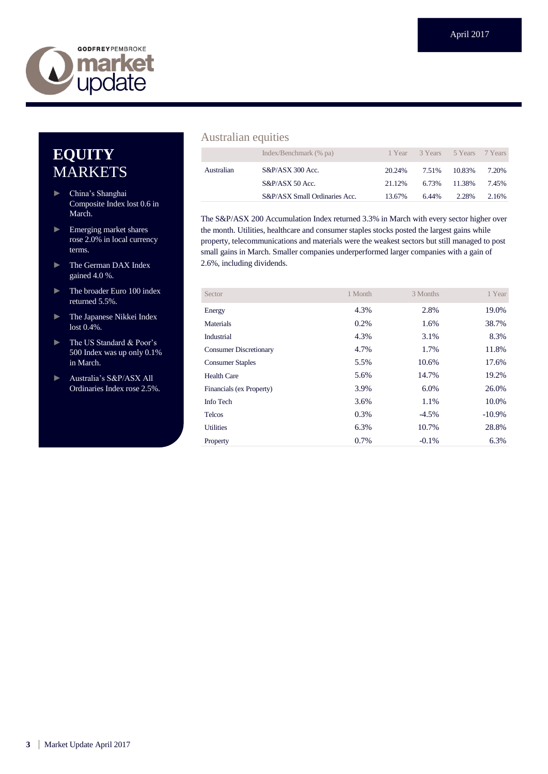

## **EQUITY** MARKETS

- ► China's Shanghai Composite Index lost 0.6 in March.
- ► Emerging market shares rose 2.0% in local currency terms.
- ► The German DAX Index gained 4.0 %.
- ► The broader Euro 100 index returned 5.5%.
- ► The Japanese Nikkei Index lost 0.4%.
- ► The US Standard & Poor's 500 Index was up only 0.1% in March.
- ► Australia's S&P/ASX All Ordinaries Index rose 2.5%.

## Australian equities

|            | Index/Benchmark (% pa)        |        | 1 Year 3 Years 5 Years 7 Years |        |       |
|------------|-------------------------------|--------|--------------------------------|--------|-------|
| Australian | $S&P/ASX$ 300 Acc.            | 20.24% | 7.51%                          | 10.83% | 7.20% |
|            | $S\&P/ASX 50$ Acc.            | 21.12% | 6.73%                          | 11.38% | 7.45% |
|            | S&P/ASX Small Ordinaries Acc. | 13.67% | 6.44%                          | 2.28%  | 2.16% |

The S&P/ASX 200 Accumulation Index returned 3.3% in March with every sector higher over the month. Utilities, healthcare and consumer staples stocks posted the largest gains while property, telecommunications and materials were the weakest sectors but still managed to post small gains in March. Smaller companies underperformed larger companies with a gain of 2.6%, including dividends.

| Sector                        | 1 Month | 3 Months | 1 Year    |
|-------------------------------|---------|----------|-----------|
| Energy                        | 4.3%    | 2.8%     | 19.0%     |
| Materials                     | 0.2%    | 1.6%     | 38.7%     |
| Industrial                    | 4.3%    | 3.1%     | 8.3%      |
| <b>Consumer Discretionary</b> | 4.7%    | 1.7%     | 11.8%     |
| <b>Consumer Staples</b>       | 5.5%    | 10.6%    | 17.6%     |
| <b>Health Care</b>            | 5.6%    | 14.7%    | 19.2%     |
| Financials (ex Property)      | 3.9%    | 6.0%     | 26.0%     |
| Info Tech                     | 3.6%    | 1.1%     | 10.0%     |
| <b>Telcos</b>                 | 0.3%    | $-4.5%$  | $-10.9\%$ |
| <b>Utilities</b>              | 6.3%    | 10.7%    | 28.8%     |
| Property                      | 0.7%    | $-0.1\%$ | 6.3%      |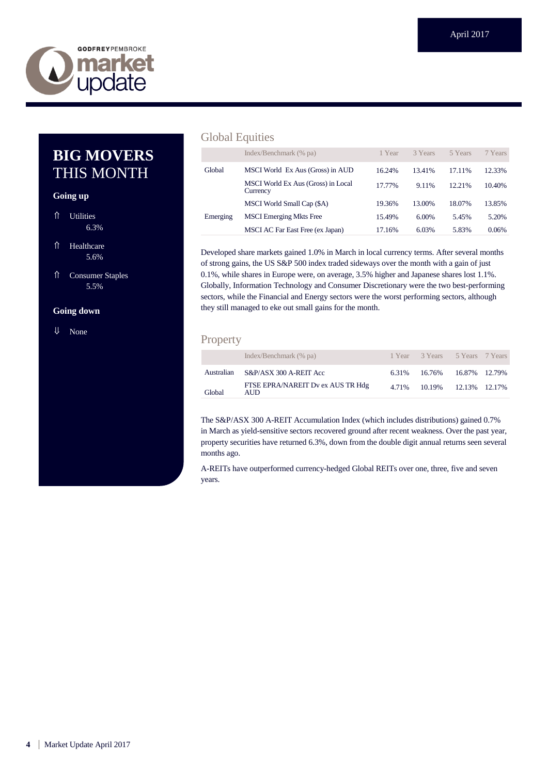

## **BIG MOVERS** THIS MONTH

#### **Going up**

- ⇑ Utilities 6.3%
- ⇑ Healthcare 5.6%
- ⇑ Consumer Staples 5.5%

#### **Going down**

⇓ None

## Global Equities

|          | Index/Benchmark (% pa)                         | 1 Year | 3 Years  | 5 Years | 7 Years |
|----------|------------------------------------------------|--------|----------|---------|---------|
| Global   | MSCI World Ex Aus (Gross) in AUD               | 16.24% | 13.41%   | 17.11%  | 12.33%  |
|          | MSCI World Ex Aus (Gross) in Local<br>Currency | 17.77% | 9.11%    | 12.21%  | 10.40%  |
|          | MSCI World Small Cap (\$A)                     | 19.36% | 13.00%   | 18.07%  | 13.85%  |
| Emerging | <b>MSCI</b> Emerging Mkts Free                 | 15.49% | $6.00\%$ | 5.45%   | 5.20%   |
|          | MSCI AC Far East Free (ex Japan)               | 17.16% | 6.03%    | 5.83%   | 0.06%   |

Developed share markets gained 1.0% in March in local currency terms. After several months of strong gains, the US S&P 500 index traded sideways over the month with a gain of just 0.1%, while shares in Europe were, on average, 3.5% higher and Japanese shares lost 1.1%. Globally, Information Technology and Consumer Discretionary were the two best-performing sectors, while the Financial and Energy sectors were the worst performing sectors, although they still managed to eke out small gains for the month.

## Property

|        | Index/Benchmark (% pa)                    | 1 Year 3 Years 5 Years 7 Years |  |
|--------|-------------------------------------------|--------------------------------|--|
|        | Australian S&P/ASX 300 A-REIT Acc         | 6.31% 16.76% 16.87% 12.79%     |  |
| Global | FTSE EPRA/NAREIT Dv ex AUS TR Hdg<br>AUD. | 4.71% 10.19% 12.13% 12.17%     |  |

The S&P/ASX 300 A-REIT Accumulation Index (which includes distributions) gained 0.7% in March as yield-sensitive sectors recovered ground after recent weakness. Over the past year, property securities have returned 6.3%, down from the double digit annual returns seen several months ago.

A-REITs have outperformed currency-hedged Global REITs over one, three, five and seven years.